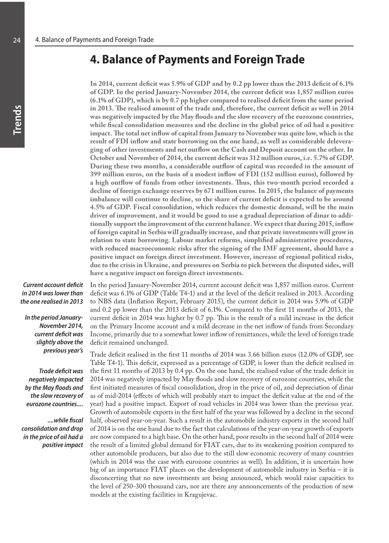# **4. Balance of Payments and Foreign Trade**

**In 2014, current deficit was 5.9% of GDP and by 0.2 pp lower than the 2013 deficit of 6.1% of GDP. In the period January-November 2014, the current deficit was 1,857 million euros (6.1% of GDP), which is by 0.7 pp higher compared to realised deficit from the same period in 2013. The realised amount of the trade and, therefore, the current deficit as well in 2014 was negatively impacted by the May floods and the slow recovery of the eurozone countries, while fiscal consolidation measures and the decline in the global price of oil had a positive impact. The total net inflow of capital from January to November was quite low, which is the result of FDI inflow and state borrowing on the one hand, as well as considerable deleveraging of other investments and net outflow on the Cash and Deposit account on the other. In October and November of 2014, the current deficit was 312 million euros, i.e. 5.7% of GDP. During these two months, a considerable outflow of capital was recorded in the amount of 399 million euros, on the basis of a modest inflow of FDI (152 million euros), followed by a high outflow of funds from other investments. Thus, this two-month period recorded a decline of foreign exchange reserves by 671 million euros. In 2015, the balance of payments imbalance will continue to decline, so the share of current deficit is expected to be around 4.5% of GDP. Fiscal consolidation, which reduces the domestic demand, will be the main driver of improvement, and it would be good to use a gradual depreciation of dinar to additionally support the improvement of the current balance. We expect that during 2015, inflow of foreign capital in Serbia will gradually increase, and that private investments will grow in relation to state borrowing. Labour market reforms, simplified administrative procedures, with reduced macroeconomic risks after the signing of the IMF agreement, should have a positive impact on foreign direct investment. However, increase of regional political risks, due to the crisis in Ukraine, and pressures on Serbia to pick between the disputed sides, will have a negative impact on foreign direct investments.** 

*Current account deficit in 2014 was lower than the one realised in 2013*

*In the period January-November 2014, current deficit was slightly above the previous year's*

*Trade deficit was negatively impacted by the May floods and the slow recovery of eurozone countries....* 

*....while fiscal consolidation and drop in the price of oil had a positive impact*  In the period January-November 2014, current account deficit was 1,857 million euros. Current deficit was 6.1% of GDP (Table T4-1) and at the level of the deficit realised in 2013. According to NBS data (Inflation Report, February 2015), the current deficit in 2014 was 5.9% of GDP and 0.2 pp lower than the 2013 deficit of 6.1%. Compared to the first 11 months of 2013, the current deficit in 2014 was higher by 0.7 pp. This is the result of a mild increase in the deficit on the Primary Income account and a mild decrease in the net inflow of funds from Secondary Income, primarily due to a somewhat lower inflow of remittances, while the level of foreign trade deficit remained unchanged.

Trade deficit realised in the first 11 months of 2014 was 3.66 billion euros (12.0% of GDP, see Table T4-1). This deficit, expressed as a percentage of GDP, is lower than the deficit realised in the first 11 months of 2013 by 0.4 pp. On the one hand, the realised value of the trade deficit in 2014 was negatively impacted by May floods and slow recovery of eurozone countries, while the first initiated measures of fiscal consolidation, drop in the price of oil, and depreciation of dinar as of mid-2014 (effects of which will probably start to impact the deficit value at the end of the year) had a positive impact. Export of road vehicles in 2014 was lower than the previous year. Growth of automobile exports in the first half of the year was followed by a decline in the second half, observed year-on-year. Such a result in the automobile industry exports in the second half of 2014 is on the one hand due to the fact that calculations of the year-on-year growth of exports are now compared to a high base. On the other hand, poor results in the second half of 2014 were the result of a limited global demand for FIAT cars, due to its weakening position compared to other automobile producers, but also due to the still slow economic recovery of many countries (which in 2014 was the case with eurozone countries as well). In addition, it is uncertain how big of an importance FIAT places on the development of automobile industry in Serbia – it is disconcerting that no new investments are being announced, which would raise capacities to the level of 250-300 thousand cars, nor are there any announcements of the production of new models at the existing facilities in Kragujevac.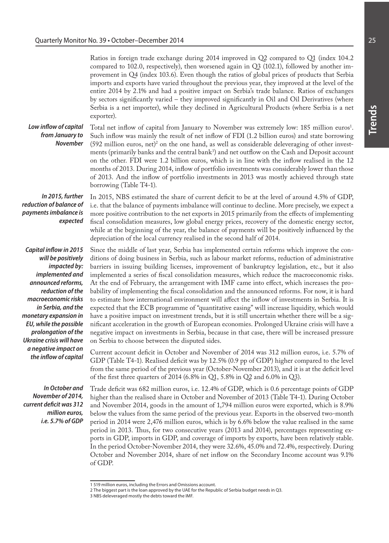Ratios in foreign trade exchange during 2014 improved in Q2 compared to Q1 (index 104.2 compared to 102.0, respectively), then worsened again in Q3 (102.1), followed by another improvement in Q4 (index 103.6). Even though the ratios of global prices of products that Serbia imports and exports have varied throughout the previous year, they improved at the level of the entire 2014 by 2.1% and had a positive impact on Serbia's trade balance. Ratios of exchanges by sectors significantly varied – they improved significantly in Oil and Oil Derivatives (where Serbia is a net importer), while they declined in Agricultural Products (where Serbia is a net exporter).

*Low inflow of capital from January to November* 

Total net inflow of capital from January to November was extremely low: 185 million euros<sup>1</sup>. Such inflow was mainly the result of net inflow of FDI (1.2 billion euros) and state borrowing  $(592 \text{ million euros}, \text{net})^2$  on the one hand, as well as considerable deleveraging of other investments (primarily banks and the central bank<sup>3</sup>) and net outflow on the Cash and Deposit account on the other. FDI were 1.2 billion euros, which is in line with the inflow realised in the 12 months of 2013. During 2014, inflow of portfolio investments was considerably lower than those of 2013. And the inflow of portfolio investments in 2013 was mostly achieved through state borrowing (Table T4-1).

*In 2015, further reduction of balance of payments imbalance is expected* 

*Capital inflow in 2015 will be positively impacted by: implemented and announced reforms, reduction of the macroeconomic risks in Serbia, and the monetary expansion in EU, while the possible prolongation of the Ukraine crisis will have a negative impact on the inflow of capital*

*In October and November of 2014, current deficit was 312 million euros, i.e. 5.7% of GDP*

In 2015, NBS estimated the share of current deficit to be at the level of around 4.5% of GDP, i.e. that the balance of payments imbalance will continue to decline. More precisely, we expect a more positive contribution to the net exports in 2015 primarily from the effects of implementing fiscal consolidation measures, low global energy prices, recovery of the domestic energy sector, while at the beginning of the year, the balance of payments will be positively influenced by the depreciation of the local currency realised in the second half of 2014.

Since the middle of last year, Serbia has implemented certain reforms which improve the conditions of doing business in Serbia, such as labour market reforms, reduction of administrative barriers in issuing building licenses, improvement of bankruptcy legislation, etc., but it also implemented a series of fiscal consolidation measures, which reduce the macroeconomic risks. At the end of February, the arrangement with IMF came into effect, which increases the probability of implementing the fiscal consolidation and the announced reforms. For now, it is hard to estimate how international environment will affect the inflow of investments in Serbia. It is expected that the ECB programme of "quantitative easing" will increase liquidity, which would have a positive impact on investment trends, but it is still uncertain whether there will be a significant acceleration in the growth of European economies. Prolonged Ukraine crisis will have a negative impact on investments in Serbia, because in that case, there will be increased pressure on Serbia to choose between the disputed sides.

Current account deficit in October and November of 2014 was 312 million euros, i.e. 5.7% of GDP (Table T4-1). Realised deficit was by 12.5% (0.9 pp of GDP) higher compared to the level from the same period of the previous year (October-November 2013), and it is at the deficit level of the first three quarters of 2014 (6.8% in Q1, 5.8% in Q2 and 6.0% in Q3).

Trade deficit was 682 million euros, i.e. 12.4% of GDP, which is 0.6 percentage points of GDP higher than the realised share in October and November of 2013 (Table T4-1). During October and November 2014, goods in the amount of 1,794 million euros were exported, which is 8.9% below the values from the same period of the previous year. Exports in the observed two-month period in 2014 were 2,476 million euros, which is by 6.6% below the value realised in the same period in 2013. Thus, for two consecutive years (2013 and 2014), percentages representing exports in GDP, imports in GDP, and coverage of imports by exports, have been relatively stable. In the period October-November 2014, they were 32.6%, 45.0% and 72.4%, respectively. During October and November 2014, share of net inflow on the Secondary Income account was 9.1% of GDP.

<sup>1 519</sup> million euros, including the Errors and Omissions account.

<sup>2</sup> The biggest part is the loan approved by the UAE for the Republic of Serbia budget needs in Q3.

<sup>3</sup> NBS deleveraged mostly the debts toward the IMF.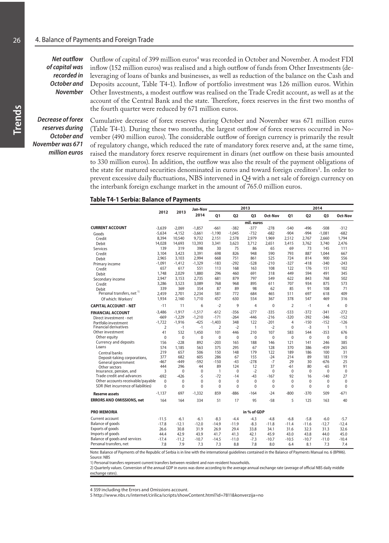*Net outflow of capital was recorded in October and November* 

Outflow of capital of 399 million euros<sup>4</sup> was recorded in October and November. A modest FDI inflow (152 million euros) was realised and a high outflow of funds from Other Investments (deleveraging of loans of banks and businesses, as well as reduction of the balance on the Cash and Deposits account, Table T4-1). Inflow of portfolio investment was 126 million euros. Within Other Investments, a modest outflow was realised on the Trade Credit account, as well as at the account of the Central Bank and the state. Therefore, forex reserves in the first two months of the fourth quarter were reduced by 671 million euros.

*Decrease of forex reserves during October and November was 671 million euros*

Cumulative decrease of forex reserves during October and November was 671 million euros (Table T4-1). During these two months, the largest outflow of forex reserves occurred in November (490 million euros). The considerable outflow of foreign currency is primarily the result of regulatory change, which reduced the rate of mandatory forex reserve and, at the same time, raised the mandatory forex reserve requirement in dinars (net outflow on these basis amounted to 330 million euros). In addition, the outflow was also the result of the payment obligations of the state for matured securities denominated in euros and toward foreign creditors<sup>5</sup>. In order to prevent excessive daily fluctuations, NBS intervened in Q4 with a net sale of foreign currency on the interbank foreign exchange market in the amount of 765.0 million euros.

#### **Table T4-1 Serbia: Balance of Payments**

|                                       |                | 2013         | Jan-Nov      | 2013           |              |                |              |                | 2014           |                |              |  |  |
|---------------------------------------|----------------|--------------|--------------|----------------|--------------|----------------|--------------|----------------|----------------|----------------|--------------|--|--|
|                                       | 2012           |              | 2014         | 01             | 02           | Q <sub>3</sub> | Oct-Nov      | 01             | Q <sub>2</sub> | Q3             | Oct-Nov      |  |  |
|                                       |                |              |              |                |              | mil. euros     |              |                |                |                |              |  |  |
| <b>CURRENT ACCOUNT</b>                | $-3.639$       | $-2.091$     | $-1,857$     | $-661$         | $-382$       | $-377$         | $-278$       | $-540$         | $-496$         | $-508$         | $-312$       |  |  |
| Goods                                 | $-5,634$       | -4,152       | $-3,661$     | $-1,190$       | $-1,045$     | $-732$         | $-682$       | $-904$         | $-994$         | $-1,081$       | $-682$       |  |  |
| Credit                                | 8,394          | 10,540       | 9,732        | 2,151          | 2,578        | 2,979          | 1,969        | 2,512          | 2,767          | 2,660          | 1,794        |  |  |
| Debit                                 | 14,028         | 14,693       | 13,393       | 3,341          | 3,623        | 3,712          | 2,651        | 3,415          | 3,762          | 3,740          | 2,476        |  |  |
| <b>Services</b>                       | 139            | 319          | 398          | 30             | 75           | 86             | 65           | 69             | 73             | 145            | 111          |  |  |
| Credit                                | 3,104          | 3.423        | 3,391        | 698            | 826          | 948            | 590          | 793            | 887            | 1.044          | 667          |  |  |
| Debit                                 | 2,965          | 3.103        | 2.994        | 668            | 751          | 861            | 525          | 724            | 814            | 900            | 556          |  |  |
| Primary income                        | $-1,091$       | $-1,412$     | $-1,329$     | $-183$         | $-292$       | $-528$         | $-210$       | $-327$         | $-418$         | $-340$         | $-243$       |  |  |
| Credit                                | 657            | 617          | 551          | 113            | 168          | 163            | 108          | 122            | 176            | 151            | 102          |  |  |
| Debit                                 | 1,748          | 2.029        | 1.880        | 296            | 460          | 691            | 318          | 449            | 594            | 491            | 345          |  |  |
| Secondary income                      | 2,947          | 3,153        | 2,735        | 681            | 879          | 797            | 549          | 622            | 843            | 768            | 502          |  |  |
| Credit                                | 3,286          | 3,523        | 3,089        | 768            | 968          | 895            | 611          | 707            | 934            | 875            | 573          |  |  |
| Debit                                 | 339            | 369          | 354          | 87             | 89           | 98             | 62           | 85             | 91             | 108            | 71           |  |  |
| Personal transfers, net <sup>1)</sup> | 2,459          | 2,701        | 2,234        | 581            | 772          | 684            | 465          | 511            | 697            | 618            | 409          |  |  |
| Of which: Workers'                    | 1.934          | 2.160        | 1.710        | 457            | 630          | 554            | 367          | 378            | 547            | 469            | 316          |  |  |
| <b>CAPITAL ACCOUNT - NET</b>          | $-11$          | 11           | 6            | $-2$           | 9            | $\overline{4}$ | $\mathbf{0}$ | $\overline{2}$ | $-1$           | $\overline{4}$ | $\mathbf{0}$ |  |  |
| <b>FINANCIAL ACCOUNT</b>              | $-3.486$       | $-1.917$     | $-1.517$     | $-612$         | $-356$       | $-277$         | $-335$       | $-533$         | $-372$         | $-341$         | $-272$       |  |  |
| Direct investment - net               | $-669$         | $-1,229$     | $-1,210$     | $-171$         | $-264$       | $-446$         | $-216$       | $-320$         | $-392$         | $-346$         | $-152$       |  |  |
| Portfolio investment                  | $-1,722$       | $-1,916$     | $-425$       | $-1,403$       | 348          | 122            | $-201$       | 4              | $-150$         | $-152$         | $-126$       |  |  |
| <b>Financial derivatives</b>          | $\overline{2}$ | $-1$         | $-1$         | $\overline{2}$ | $-2$         | 1              | $-2$         | $\mathbf 0$    | $-3$           | 1              | 1            |  |  |
| Other investment                      | 41             | 532          | 1,450        | 101            | 446          | 210            | 107          | 583            | 544            | $-353$         | 676          |  |  |
| Other equity                          | 0              | 0            | $\mathbf{0}$ | 0              | 0            | 0              | 0            | 0              | 0              | $\mathbf{0}$   | 0            |  |  |
| <b>Currency and deposits</b>          | 156            | $-228$       | 892          | $-203$         | 165          | 188            | 146          | 121            | 141            | 246            | 385          |  |  |
| Loans                                 | 574            | 1.185        | 563          | 375            | 295          | 67             | 128          | 370            | 386            | $-459$         | 265          |  |  |
| Central banks                         | 219            | 657          | 506          | 150            | 148          | 179            | 122          | 189            | 186            | 100            | 31           |  |  |
| Deposit-taking corporations,          | 377            | 682          | 605          | 286            | 67           | 155            | $-24$        | 214            | 89             | 183            | 119          |  |  |
| General government                    | -467           | -449         | $-592$       | $-150$         | $-43$        | $-278$         | $-7$         | 29             | 30             | $-676$         | 25           |  |  |
| Other sectors                         | 444            | 296          | 44           | 89             | 124          | 12             | 37           | -61            | 80             | $-65$          | 91           |  |  |
| Insurance, pension, and               | 3              | $\mathbf 0$  | $\mathbf{0}$ | $\mathbf{1}$   | $\mathbf{0}$ | $-2$           | $\mathbf{0}$ | $\mathbf{0}$   | $\mathbf 0$    | $\mathbf{0}$   | $\mathbf 0$  |  |  |
| Trade credit and advances             | $-692$         | $-426$       | $-5$         | $-72$          | $-14$        | $-43$          | $-167$       | 92             | 16             | $-140$         | 27           |  |  |
| Other accounts receivable/payable     | $\mathbf{0}$   | 0            | $\mathbf 0$  | $\mathbf 0$    | 0            | 0              | 0            | 0              | $\mathbf 0$    | 0              | 0            |  |  |
| SDR (Net incurrence of liabilities)   | $\mathbf{0}$   | $\mathbf{0}$ | $\mathbf{0}$ | $\mathbf 0$    | $\mathbf{0}$ | $\mathbf{0}$   | 0            | 0              | 0              | $\mathbf{0}$   | $\mathbf 0$  |  |  |
| <b>Reserve assets</b>                 | $-1.137$       | 697          | $-1.332$     | 859            | $-886$       | $-164$         | $-24$        | $-800$         | $-370$         | 509            | $-671$       |  |  |
| <b>ERRORS AND OMISSIONS, net</b>      | 164            | 164          | 334          | 51             | 17           | 95             | $-58$        | 5              | 125            | 163            | 40           |  |  |
| <b>PRO MEMORIA</b>                    |                |              |              |                |              | in % of GDP    |              |                |                |                |              |  |  |
| Current account                       | $-11.5$        | $-6.1$       | $-6.1$       | $-8.3$         | $-4.4$       | $-4.3$         | $-4.8$       | $-6.8$         | $-5.8$         | $-6.0$         | $-5.7$       |  |  |
| <b>Balance of goods</b>               | $-17.8$        | $-12.1$      | $-12.0$      | $-14.9$        | $-11.9$      | $-8.3$         | $-11.8$      | $-11.4$        | $-11.6$        | $-12.7$        | $-12.4$      |  |  |
| Exports of goods                      | 26.6           | 30.8         | 31.9         | 26.9           | 29.4         | 33.8           | 34.1         | 31.6           | 32.3           | 31.3           | 32.6         |  |  |
| Imports of goods                      | 44.4           | 42.9         | 43.9         | 41.7           | 41.3         | 42.1           | 45.9         | 43.0           | 43.8           | 44.0           | 45.0         |  |  |
| Balance of goods and services         | $-17.4$        | $-11.2$      | $-10.7$      | $-14.5$        | $-11.0$      | $-7.3$         | $-10.7$      | $-10.5$        | $-10.7$        | $-11.0$        | $-10.4$      |  |  |
| Personal transfers, net               | 7.8            | 7.9          | 7.3          | 7.3            | 8.8          | 7.8            | 8.0          | 6.4            | 8.1            | 7.3            | 7.4          |  |  |

Note: Balance of Payments of the Republic of Serbia is in line with the international guidelines contained in the Balance of Payments Manual no. 6 (BPM6). Source: NBS

1) Personal transfers represent current transfers between resident and non-resident households.

2) Quarterly values. Conversion of the annual GDP in euros was done according to the average annual exchange rate (average of official NBS daily middle exchange rates)

4 359 including the Errors and Omissions account.

5 http://www.nbs.rs/internet/cirilica/scripts/showContent.html?id=7811&konverzija=no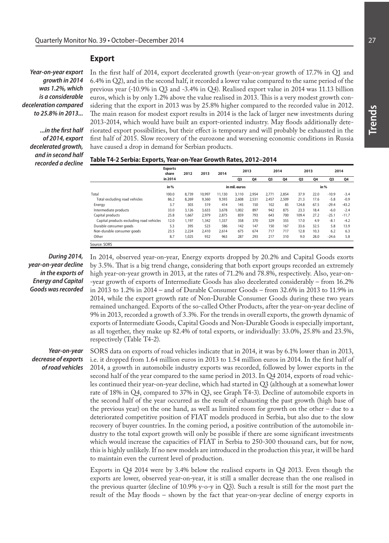#### **Export**

*Year-on-year export growth in 2014 was 1.2%, which is a considerable deceleration compared to 25.8% in 2013...*

*...in the first half of 2014, export decelerated growth, and in second half recorded a decline*  In the first half of 2014, export decelerated growth (year-on-year growth of 17.7% in Q1 and 6.4% in Q2), and in the second half, it recorded a lower value compared to the same period of the previous year (-10.9% in Q3 and -3.4% in Q4). Realised export value in 2014 was 11.13 billion euros, which is by only 1.2% above the value realised in 2013. This is a very modest growth considering that the export in 2013 was by 25.8% higher compared to the recorded value in 2012. The main reason for modest export results in 2014 is the lack of larger new investments during 2013-2014, which would have built an export-oriented industry. May floods additionally deteriorated export possibilities, but their effect is temporary and will probably be exhausted in the first half of 2015. Slow recovery of the eurozone and worsening economic conditions in Russia have caused a drop in demand for Serbian products.

| Table T4-2 Serbia: Exports, Year-on-Year Growth Rates, 2012–2014 |  |  |
|------------------------------------------------------------------|--|--|
|------------------------------------------------------------------|--|--|

|                                          | <b>Exports</b><br>share | 2012  | 2013   | 2014   |               | 2013  |       | 2014  | 2013  |      |         | 2014    |
|------------------------------------------|-------------------------|-------|--------|--------|---------------|-------|-------|-------|-------|------|---------|---------|
|                                          | in 2014                 |       |        |        | Q3            | 04    | Q3    | 04    | Q3    | Q4   | Q3      | Q4      |
|                                          | in $%$                  |       |        |        | in mil. euros |       |       |       |       |      | in $%$  |         |
| Total                                    | 100.0                   | 8,739 | 10,997 | 11.130 | 3.110         | 2,954 | 2.771 | 2.854 | 37.9  | 22.0 | $-10.9$ | $-3.4$  |
| Total excluding road vehicles            | 86.2                    | 8.269 | 9.360  | 9.593  | 2.608         | 2,531 | 2,457 | 2.509 | 21.3  | 17.6 | $-5.8$  | $-0.9$  |
| Energy                                   | 3.7                     | 303   | 519    | 414    | 145           | 150   | 102   | 85    | 124.8 | 67.5 | $-29.4$ | $-43.2$ |
| Intermediate products                    | 33.0                    | 3.126 | 3.633  | 3.678  | 1.002         | 897   | 942   | 875   | 23.3  | 18.4 | $-6.0$  | $-2.4$  |
| Capital products                         | 25.8                    | 1.667 | 2.979  | 2.875  | 859           | 793   | 643   | 700   | 109.4 | 27.2 | $-25.1$ | $-11.7$ |
| Capital products excluding road vehicles | 12.0                    | 1,197 | 1.342  | 1.337  | 358           | 370   | 329   | 355   | 17.0  | 4.9  | $-8.1$  | $-4.2$  |
| Durable consumer goods                   | 5.3                     | 395   | 523    | 586    | 142           | 147   | 150   | 167   | 33.6  | 32.5 | 5.8     | 13.9    |
| Non-durable consumer goods               | 23.5                    | 2,224 | 2.410  | 2.614  | 675           | 674   | 717   | 717   | 12.8  | 10.3 | 6.2     | 6.3     |
| Other                                    | 8.7                     | 1,025 | 932    | 963    | 287           | 293   | 217   | 310   | 9.0   | 28.0 | $-24.6$ | 5.8     |
| Source: SORS                             |                         |       |        |        |               |       |       |       |       |      |         |         |

*During 2014, year-on-year decline in the exports of Energy and Capital Goods was recorded*  In 2014, observed year-on-year, Energy exports dropped by 20.2% and Capital Goods exorts by 3.5%. That is a big trend change, considering that both export groups recorded an extremely high year-on-year growth in 2013, at the rates of 71.2% and 78.8%, respectively. Also, year-on- -year growth of exports of Intermediate Goods has also decelerated considerably – from 16.2% in 2013 to 1.2% in 2014 – and of Durable Consumer Goods – from 32.6% in 2013 to 11.9% in 2014, while the export growth rate of Non-Durable Consumer Goods during these two years remained unchanged. Exports of the so-called Other Products, after the year-on-year decline of 9% in 2013, recorded a growth of 3.3%. For the trends in overall exports, the growth dynamic of exports of Intermediate Goods, Capital Goods and Non-Durable Goods is especially important, as all together, they make up 82.4% of total exports, or individually: 33.0%, 25.8% and 23.5%, respectively (Table T4-2).

*Year-on-year decrease of exports of road vehicles*

SORS data on exports of road vehicles indicate that in 2014, it was by 6.1% lower than in 2013, i.e. it dropped from 1.64 million euros in 2013 to 1.54 million euros in 2014. In the first half of 2014, a growth in automobile industry exports was recorded, followed by lower exports in the second half of the year compared to the same period in 2013. In Q4 2014, exports of road vehicles continued their year-on-year decline, which had started in Q3 (although at a somewhat lower rate of 18% in Q4, compared to 37% in Q3, see Graph T4-3). Decline of automobile exports in the second half of the year occurred as the result of exhausting the past growth (high base of the previous year) on the one hand, as well as limited room for growth on the other – due to a deteriorated competitive position of FIAT models produced in Serbia, but also due to the slow recovery of buyer countries. In the coming period, a positive contribution of the automobile industry to the total export growth will only be possible if there are some significant investments which would increase the capacities of FIAT in Serbia to 250-300 thousand cars, but for now, this is highly unlikely. If no new models are introduced in the production this year, it will be hard to maintain even the current level of production.

Exports in Q4 2014 were by 3.4% below the realised exports in Q4 2013. Even though the exports are lower, observed year-on-year, it is still a smaller decrease than the one realised in the previous quarter (decline of 10.9% y-o-y in Q3). Such a result is still for the most part the result of the May floods – shown by the fact that year-on-year decline of energy exports in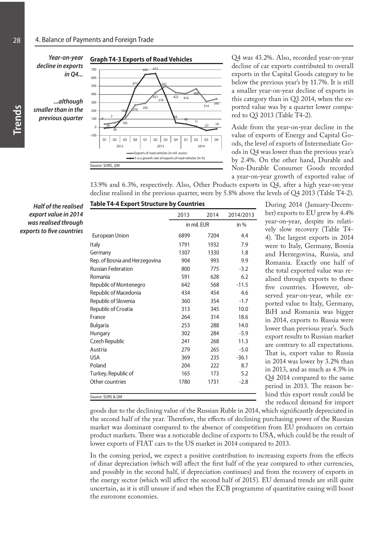

Q4 was 43.2%. Also, recorded year-on-year decline of car exports contributed to overall exports in the Capital Goods category to be below the previous year's by 11.7%. It is still a smaller year-on-year decline of exports in this category than in Q3 2014, when the exported value was by a quarter lower compared to Q3 2013 (Table T4-2).

Aside from the year-on-year decline in the value of exports of Energy and Capital Goods, the level of exports of Intermediate Goods in Q4 was lower than the previous year's by 2.4%. On the other hand, Durable and Non-Durable Consumer Goods recorded a year-on-year growth of exported value of

13.9% and 6.3%, respectively. Also, Other Products exports in Q4, after a high year-on-year decline realised in the previous quarter, were by 5.8% above the levels of Q4 2013 (Table T4-2).

*Half of the realised export value in 2014 was realised through exports to five countries* 

|                                | 2013        | 2014 | 2014/2013 |
|--------------------------------|-------------|------|-----------|
|                                | in mil. EUR |      | in $%$    |
| <b>European Union</b>          | 6899        | 7204 | 4.4       |
| Italy                          | 1791        | 1932 | 7.9       |
| Germany                        | 1307        | 1330 | 1.8       |
| Rep. of Bosnia and Herzegovina | 904         | 993  | 9.9       |
| <b>Russian Federation</b>      | 800         | 775  | $-3.2$    |
| Romania                        | 591         | 628  | 6.2       |
| Republic of Montenegro         | 642         | 568  | $-11.5$   |
| Republic of Macedonia          | 434         | 454  | 4.6       |
| Republic of Slovenia           | 360         | 354  | $-1.7$    |
| Republic of Croatia            | 313         | 345  | 10.0      |
| France                         | 264         | 314  | 18.6      |
| <b>Bulgaria</b>                | 253         | 288  | 14.0      |
| Hungary                        | 302         | 284  | $-5.9$    |
| Czech Republic                 | 241         | 268  | 11.3      |
| Austria                        | 279         | 265  | $-5.0$    |
| <b>USA</b>                     | 369         | 235  | $-36.1$   |
| Poland                         | 204         | 222  | 8.7       |
| Turkey, Republic of            | 165         | 173  | 5.2       |
| Other countries                | 1780        | 1731 | $-2.8$    |

During 2014 (January-December) exports to EU grew by 4.4% year-on-year, despite its relatively slow recovery (Table T4- 4). The largest exports in 2014 were to Italy, Germany, Bosnia and Herzegovina, Russia, and Romania. Exactly one half of the total exported value was realised through exports to these five countries. However, observed year-on-year, while exported value to Italy, Germany, BiH and Romania was bigger in 2014, exports to Russia were lower than previous year's. Such export results to Russian market are contrary to all expectations. That is, export value to Russia in 2014 was lower by 3.2% than in 2013, and as much as 4.3% in Q4 2014 compared to the same period in 2013. The reason behind this export result could be the reduced demand for import

goods due to the declining value of the Russian Ruble in 2014, which significantly depreciated in the second half of the year. Therefore, the effects of declining purchasing power of the Russian market was dominant compared to the absence of competition from EU producers on certain product markets. There was a noticeable decline of exports to USA, which could be the result of lower exports of FIAT cars to the US market in 2014 compared to 2013.

In the coming period, we expect a positive contribution to increasing exports from the effects of dinar depreciation (which will affect the first half of the year compared to other currencies, and possibly in the second half, if depreciation continues) and from the recovery of exports in the energy sector (which will affect the second half of 2015). EU demand trends are still quite uncertain, as it is still unsure if and when the ECB programme of quantitative easing will boost the eurozone economies.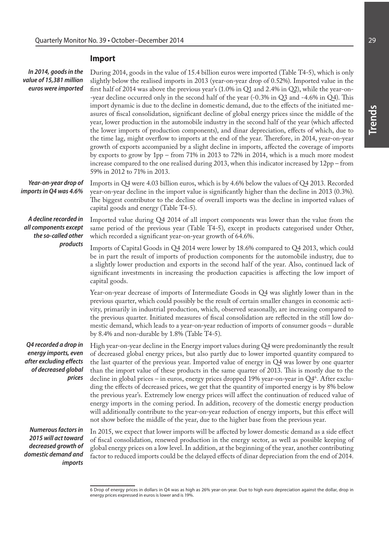## **Import**

| In 2014, goods in the<br>value of 15,381 million<br>euros were imported                                            | During 2014, goods in the value of 15.4 billion euros were imported (Table T4-5), which is only<br>slightly below the realised imports in 2013 (year-on-year drop of 0.52%). Imported value in the<br>first half of 2014 was above the previous year's (1.0% in Q1 and 2.4% in Q2), while the year-on-<br>-year decline occurred only in the second half of the year (-0.3% in Q3 and -4.6% in Q4). This<br>import dynamic is due to the decline in domestic demand, due to the effects of the initiated me-<br>asures of fiscal consolidation, significant decline of global energy prices since the middle of the<br>year, lower production in the automobile industry in the second half of the year (which affected<br>the lower imports of production components), and dinar depreciation, effects of which, due to<br>the time lag, might overflow to imports at the end of the year. Therefore, in 2014, year-on-year<br>growth of exports accompanied by a slight decline in imports, affected the coverage of imports<br>by exports to grow by $1pp$ – from 71% in 2013 to 72% in 2014, which is a much more modest<br>increase compared to the one realised during 2013, when this indicator increased by 12pp - from<br>59% in 2012 to 71% in 2013. |
|--------------------------------------------------------------------------------------------------------------------|----------------------------------------------------------------------------------------------------------------------------------------------------------------------------------------------------------------------------------------------------------------------------------------------------------------------------------------------------------------------------------------------------------------------------------------------------------------------------------------------------------------------------------------------------------------------------------------------------------------------------------------------------------------------------------------------------------------------------------------------------------------------------------------------------------------------------------------------------------------------------------------------------------------------------------------------------------------------------------------------------------------------------------------------------------------------------------------------------------------------------------------------------------------------------------------------------------------------------------------------------------------|
| Year-on-year drop of<br>imports in Q4 was 4.6%                                                                     | Imports in Q4 were 4.03 billion euros, which is by 4.6% below the values of Q4 2013. Recorded<br>year-on-year decline in the import value is significantly higher than the decline in 2013 (0.3%).<br>The biggest contributor to the decline of overall imports was the decline in imported values of<br>capital goods and energy (Table T4-5).                                                                                                                                                                                                                                                                                                                                                                                                                                                                                                                                                                                                                                                                                                                                                                                                                                                                                                                |
| A decline recorded in<br>all components except<br>the so-called other                                              | Imported value during Q4 2014 of all import components was lower than the value from the<br>same period of the previous year (Table T4-5), except in products categorised under Other,<br>which recorded a significant year-on-year growth of 64.6%.                                                                                                                                                                                                                                                                                                                                                                                                                                                                                                                                                                                                                                                                                                                                                                                                                                                                                                                                                                                                           |
| products                                                                                                           | Imports of Capital Goods in Q4 2014 were lower by 18.6% compared to Q4 2013, which could<br>be in part the result of imports of production components for the automobile industry, due to<br>a slightly lower production and exports in the second half of the year. Also, continued lack of<br>significant investments in increasing the production capacities is affecting the low import of<br>capital goods.                                                                                                                                                                                                                                                                                                                                                                                                                                                                                                                                                                                                                                                                                                                                                                                                                                               |
|                                                                                                                    | Year-on-year decrease of imports of Intermediate Goods in Q4 was slightly lower than in the<br>previous quarter, which could possibly be the result of certain smaller changes in economic acti-<br>vity, primarily in industrial production, which, observed seasonally, are increasing compared to<br>the previous quarter. Initiated measures of fiscal consolidation are reflected in the still low do-<br>mestic demand, which leads to a year-on-year reduction of imports of consumer goods - durable<br>by 8.4% and non-durable by 1.8% (Table T4-5).                                                                                                                                                                                                                                                                                                                                                                                                                                                                                                                                                                                                                                                                                                  |
| energy imports, even<br>after excluding effects<br>of decreased global<br>prices                                   | <b>Q4 recorded a drop in</b> High year-on-year decline in the Energy import values during Q4 were predominantly the result<br>of decreased global energy prices, but also partly due to lower imported quantity compared to<br>the last quarter of the previous year. Imported value of energy in Q4 was lower by one quarter<br>than the import value of these products in the same quarter of 2013. This is mostly due to the<br>decline in global prices – in euros, energy prices dropped 19% year-on-year in $Q46$ . After exclu-<br>ding the effects of decreased prices, we get that the quantity of imported energy is by 8% below<br>the previous year's. Extremely low energy prices will affect the continuation of reduced value of<br>energy imports in the coming period. In addition, recovery of the domestic energy production<br>will additionally contribute to the year-on-year reduction of energy imports, but this effect will<br>not show before the middle of the year, due to the higher base from the previous year.                                                                                                                                                                                                                |
| <b>Numerous factors in</b><br>2015 will act toward<br>decreased growth of<br>domestic demand and<br><i>imports</i> | In 2015, we expect that lower imports will be affected by lower domestic demand as a side effect<br>of fiscal consolidation, renewed production in the energy sector, as well as possible keeping of<br>global energy prices on a low level. In addition, at the beginning of the year, another contributing<br>factor to reduced imports could be the delayed effects of dinar depreciation from the end of 2014.                                                                                                                                                                                                                                                                                                                                                                                                                                                                                                                                                                                                                                                                                                                                                                                                                                             |

<sup>6</sup> Drop of energy prices in dollars in Q4 was as high as 26% year-on-year. Due to high euro depreciation against the dollar, drop in energy prices expressed in euros is lower and is 19%.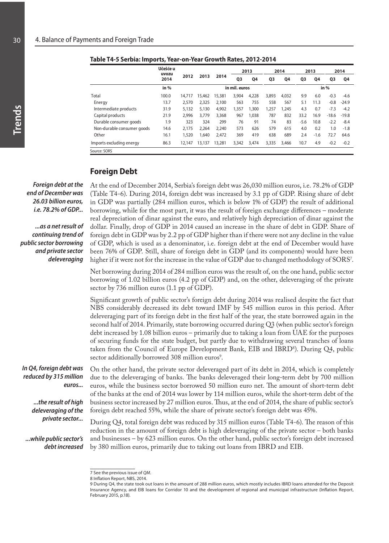|                            | Učešće u<br>uvozu |        |        |        |               | 2013  |                | 2014  |                | 2013   |         | 2014    |
|----------------------------|-------------------|--------|--------|--------|---------------|-------|----------------|-------|----------------|--------|---------|---------|
|                            | 2014              | 2012   | 2013   | 2014   | Q3            | Q4    | Q <sub>3</sub> | Q4    | Q <sub>3</sub> | Q4     | Q3      | Q4      |
|                            | in $%$            |        |        |        | in mil. euros |       |                |       |                |        | in %    |         |
| Total                      | 100.0             | 14,717 | 15,462 | 15,381 | 3,904         | 4,228 | 3,893          | 4.032 | 9.9            | 6.0    | $-0.3$  | $-4.6$  |
| Energy                     | 13.7              | 2,570  | 2,325  | 2,100  | 563           | 755   | 558            | 567   | 5.1            | 11.3   | $-0.8$  | $-24.9$ |
| Intermediate products      | 31.9              | 5.132  | 5,130  | 4.902  | 1,357         | 1,300 | 1.257          | 1,245 | 4.3            | 0.7    | $-7.3$  | $-4.2$  |
| Capital products           | 21.9              | 2.996  | 3,779  | 3,368  | 967           | 1,038 | 787            | 832   | 33.2           | 16.9   | $-18.6$ | $-19.8$ |
| Durable consumer goods     | 1.9               | 323    | 324    | 299    | 76            | 91    | 74             | 83    | $-5.6$         | 10.8   | $-2.2$  | $-8.4$  |
| Non-durable consumer goods | 14.6              | 2.175  | 2.264  | 2.240  | 573           | 626   | 579            | 615   | 4.0            | 0.2    | 1.0     | $-1.8$  |
| Other                      | 16.1              | 1,520  | 1,640  | 2.472  | 369           | 419   | 638            | 689   | 2.4            | $-1.6$ | 72.7    | 64.6    |
| Imports excluding energy   | 86.3              | 12,147 | 13,137 | 13,281 | 3,342         | 3.474 | 3,335          | 3,466 | 10.7           | 4.9    | $-0.2$  | $-0.2$  |
| Source: SORS               |                   |        |        |        |               |       |                |       |                |        |         |         |

**Table T4-5 Serbia: Imports, Year-on-Year Growth Rates, 2012-2014**

### **Foreign Debt**

*Foreign debt at the end of December was 26.03 billion euros, i.e. 78.2% of GDP...*

*...as a net result of continuing trend of public sector borrowing and private sector deleveraging* 

*In Q4, foreign debt was reduced by 315 million* 

> *...the result of high deleveraging of the private sector...*

*...while public sector's debt increased* 

*euros...*

At the end of December 2014, Serbia's foreign debt was 26,030 million euros, i.e. 78.2% of GDP (Table T4-6). During 2014, foreign debt was increased by 3.1 pp of GDP. Rising share of debt in GDP was partially (284 million euros, which is below 1% of GDP) the result of additional borrowing, while for the most part, it was the result of foreign exchange differences – moderate real depreciation of dinar against the euro, and relatively high depreciation of dinar against the dollar. Finally, drop of GDP in 2014 caused an increase in the share of debt in GDP. Share of foreign debt in GDP was by 2.2 pp of GDP higher than if there were not any decline in the value of GDP, which is used as a denominator, i.e. foreign debt at the end of December would have been 76% of GDP. Still, share of foreign debt in GDP (and its components) would have been higher if it were not for the increase in the value of GDP due to changed methodology of  $\mathrm{SORS'}$ .

Net borrowing during 2014 of 284 million euros was the result of, on the one hand, public sector borrowing of 1.02 billion euros (4.2 pp of GDP) and, on the other, deleveraging of the private sector by 736 million euros (1.1 pp of GDP).

Significant growth of public sector's foreign debt during 2014 was realised despite the fact that NBS considerably decreased its debt toward IMF by 545 million euros in this period. After deleveraging part of its foreign debt in the first half of the year, the state borrowed again in the second half of 2014. Primarily, state borrowing occurred during Q3 (when public sector's foreign debt increased by 1.08 billion euros – primarily due to taking a loan from UAE for the purposes of securing funds for the state budget, but partly due to withdrawing several tranches of loans taken from the Council of Europe Development Bank, EIB and IBRD<sup>8</sup>). During Q4, public sector additionally borrowed 308 million euros<sup>9</sup>.

On the other hand, the private sector deleveraged part of its debt in 2014, which is completely due to the deleveraging of banks. The banks deleveraged their long-term debt by 700 million euros, while the business sector borrowed 50 million euro net. The amount of short-term debt of the banks at the end of 2014 was lower by 114 million euros, while the short-term debt of the business sector increased by 27 million euros. Thus, at the end of 2014, the share of public sector's foreign debt reached 55%, while the share of private sector's foreign debt was 45%.

During Q4, total foreign debt was reduced by 315 million euros (Table T4-6). The reason of this reduction in the amount of foreign debt is high deleveraging of the private sector – both banks and businesses – by 623 million euros. On the other hand, public sector's foreign debt increased by 380 million euros, primarily due to taking out loans from IBRD and EIB.

<sup>7</sup> See the previous issue of *QM*.

<sup>8</sup> Inflation Report, NBS, 2014.

<sup>9</sup> During Q4, the state took out loans in the amount of 288 million euros, which mostly includes IBRD loans attended for the Deposit Insurance Agency, and EIB loans for Corridor 10 and the development of regional and municipal infrastructure (Inflation Report, February 2015, p.18).